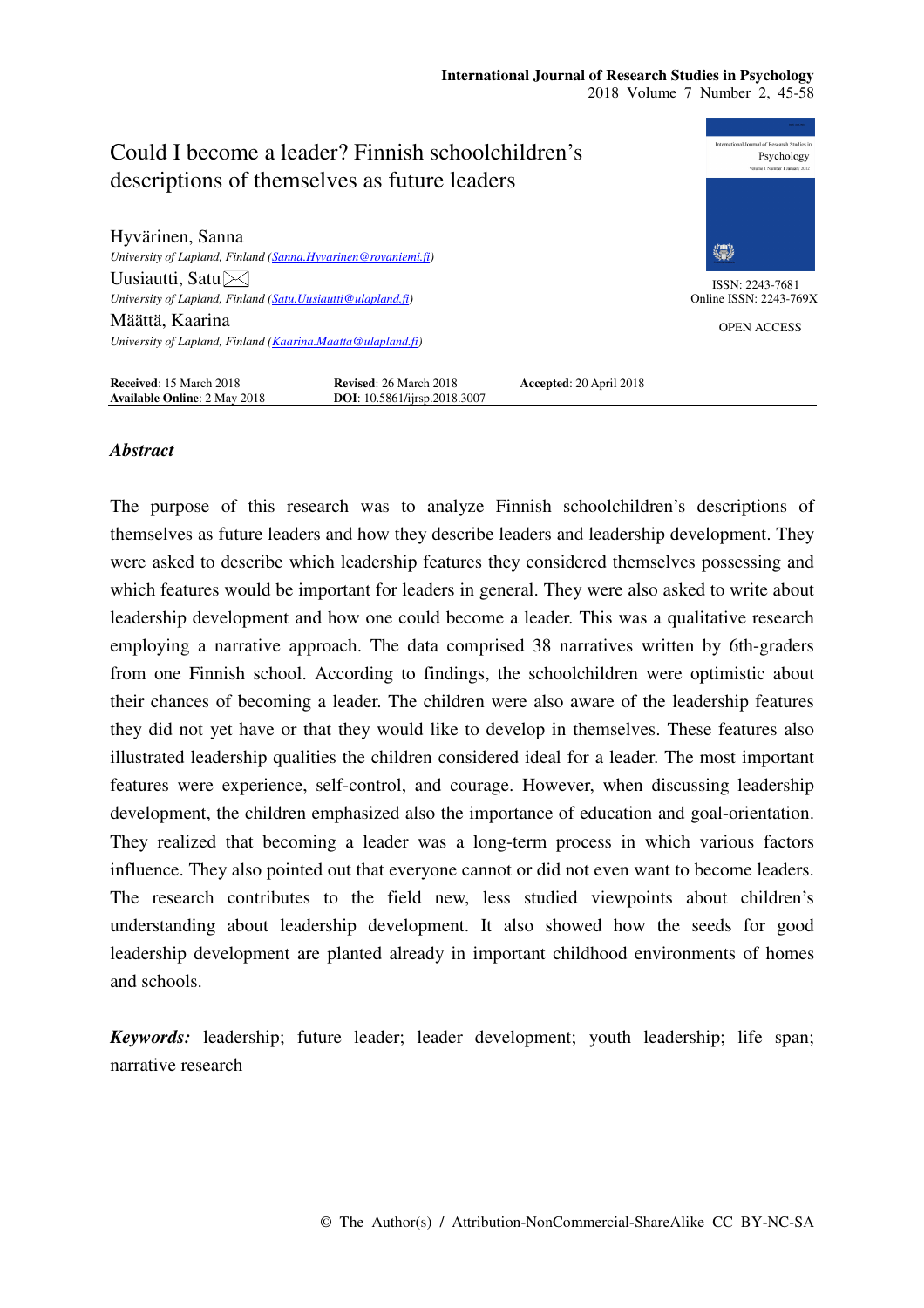# **International Journal of Research Studies in Psychology**  2018 Volume 7 Number 2, 45-58



# *Abstract*

The purpose of this research was to analyze Finnish schoolchildren's descriptions of themselves as future leaders and how they describe leaders and leadership development. They were asked to describe which leadership features they considered themselves possessing and which features would be important for leaders in general. They were also asked to write about leadership development and how one could become a leader. This was a qualitative research employing a narrative approach. The data comprised 38 narratives written by 6th-graders from one Finnish school. According to findings, the schoolchildren were optimistic about their chances of becoming a leader. The children were also aware of the leadership features they did not yet have or that they would like to develop in themselves. These features also illustrated leadership qualities the children considered ideal for a leader. The most important features were experience, self-control, and courage. However, when discussing leadership development, the children emphasized also the importance of education and goal-orientation. They realized that becoming a leader was a long-term process in which various factors influence. They also pointed out that everyone cannot or did not even want to become leaders. The research contributes to the field new, less studied viewpoints about children's understanding about leadership development. It also showed how the seeds for good leadership development are planted already in important childhood environments of homes and schools.

*Keywords:* leadership; future leader; leader development; youth leadership; life span; narrative research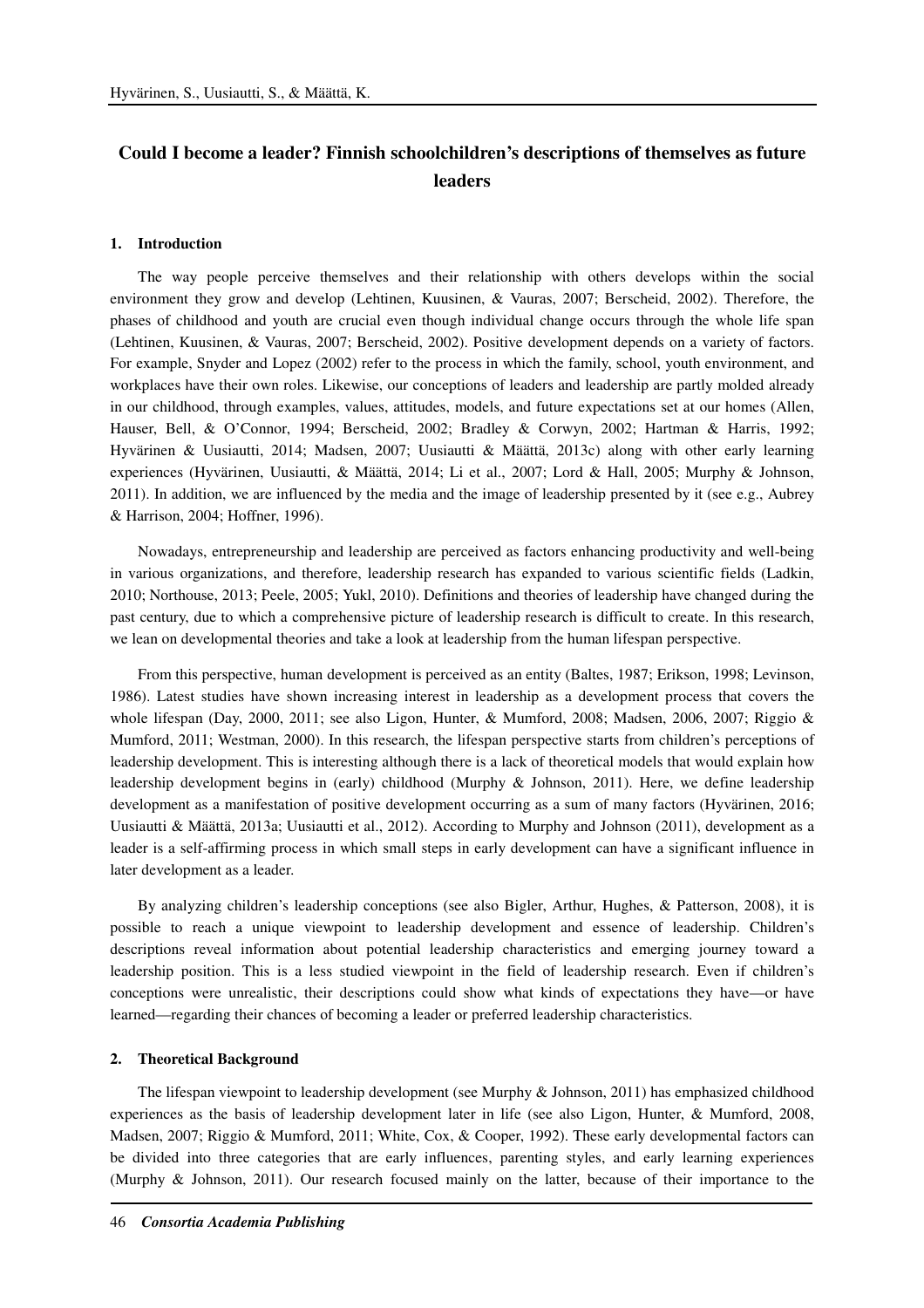# **Could I become a leader? Finnish schoolchildren's descriptions of themselves as future leaders**

# **1. Introduction**

The way people perceive themselves and their relationship with others develops within the social environment they grow and develop (Lehtinen, Kuusinen, & Vauras, 2007; Berscheid, 2002). Therefore, the phases of childhood and youth are crucial even though individual change occurs through the whole life span (Lehtinen, Kuusinen, & Vauras, 2007; Berscheid, 2002). Positive development depends on a variety of factors. For example, Snyder and Lopez (2002) refer to the process in which the family, school, youth environment, and workplaces have their own roles. Likewise, our conceptions of leaders and leadership are partly molded already in our childhood, through examples, values, attitudes, models, and future expectations set at our homes (Allen, Hauser, Bell, & O'Connor, 1994; Berscheid, 2002; Bradley & Corwyn, 2002; Hartman & Harris, 1992; Hyvärinen & Uusiautti, 2014; Madsen, 2007; Uusiautti & Määttä, 2013c) along with other early learning experiences (Hyvärinen, Uusiautti, & Määttä, 2014; Li et al., 2007; Lord & Hall, 2005; Murphy & Johnson, 2011). In addition, we are influenced by the media and the image of leadership presented by it (see e.g., Aubrey & Harrison, 2004; Hoffner, 1996).

Nowadays, entrepreneurship and leadership are perceived as factors enhancing productivity and well-being in various organizations, and therefore, leadership research has expanded to various scientific fields (Ladkin, 2010; Northouse, 2013; Peele, 2005; Yukl, 2010). Definitions and theories of leadership have changed during the past century, due to which a comprehensive picture of leadership research is difficult to create. In this research, we lean on developmental theories and take a look at leadership from the human lifespan perspective.

From this perspective, human development is perceived as an entity (Baltes, 1987; Erikson, 1998; Levinson, 1986). Latest studies have shown increasing interest in leadership as a development process that covers the whole lifespan (Day, 2000, 2011; see also Ligon, Hunter, & Mumford, 2008; Madsen, 2006, 2007; Riggio & Mumford, 2011; Westman, 2000). In this research, the lifespan perspective starts from children's perceptions of leadership development. This is interesting although there is a lack of theoretical models that would explain how leadership development begins in (early) childhood (Murphy & Johnson, 2011). Here, we define leadership development as a manifestation of positive development occurring as a sum of many factors (Hyvärinen, 2016; Uusiautti & Määttä, 2013a; Uusiautti et al., 2012). According to Murphy and Johnson (2011), development as a leader is a self-affirming process in which small steps in early development can have a significant influence in later development as a leader.

By analyzing children's leadership conceptions (see also Bigler, Arthur, Hughes, & Patterson, 2008), it is possible to reach a unique viewpoint to leadership development and essence of leadership. Children's descriptions reveal information about potential leadership characteristics and emerging journey toward a leadership position. This is a less studied viewpoint in the field of leadership research. Even if children's conceptions were unrealistic, their descriptions could show what kinds of expectations they have—or have learned—regarding their chances of becoming a leader or preferred leadership characteristics.

## **2. Theoretical Background**

The lifespan viewpoint to leadership development (see Murphy & Johnson, 2011) has emphasized childhood experiences as the basis of leadership development later in life (see also Ligon, Hunter, & Mumford, 2008, Madsen, 2007; Riggio & Mumford, 2011; White, Cox, & Cooper, 1992). These early developmental factors can be divided into three categories that are early influences, parenting styles, and early learning experiences (Murphy & Johnson, 2011). Our research focused mainly on the latter, because of their importance to the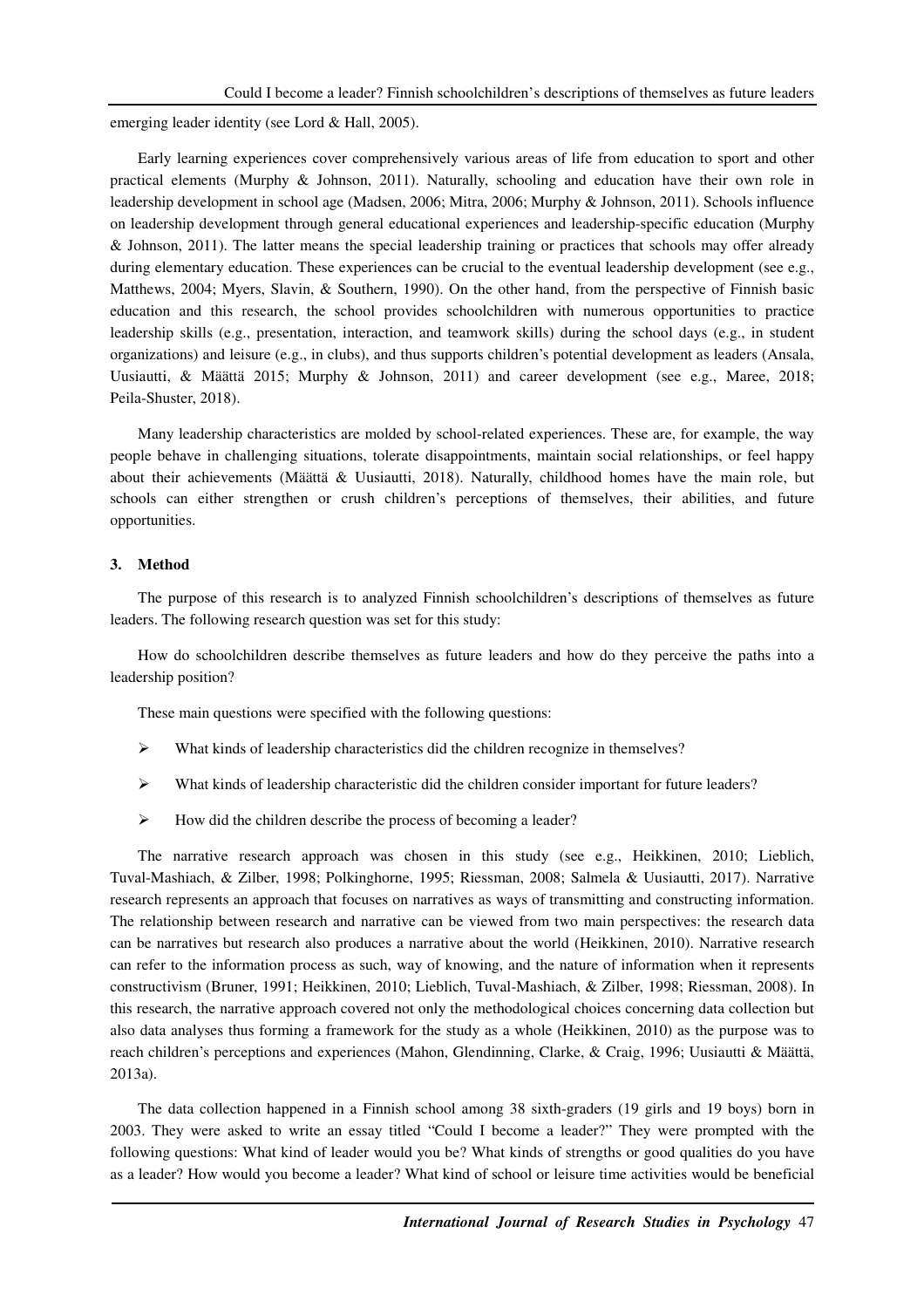emerging leader identity (see Lord & Hall, 2005).

Early learning experiences cover comprehensively various areas of life from education to sport and other practical elements (Murphy & Johnson, 2011). Naturally, schooling and education have their own role in leadership development in school age (Madsen, 2006; Mitra, 2006; Murphy & Johnson, 2011). Schools influence on leadership development through general educational experiences and leadership-specific education (Murphy & Johnson, 2011). The latter means the special leadership training or practices that schools may offer already during elementary education. These experiences can be crucial to the eventual leadership development (see e.g., Matthews, 2004; Myers, Slavin, & Southern, 1990). On the other hand, from the perspective of Finnish basic education and this research, the school provides schoolchildren with numerous opportunities to practice leadership skills (e.g., presentation, interaction, and teamwork skills) during the school days (e.g., in student organizations) and leisure (e.g., in clubs), and thus supports children's potential development as leaders (Ansala, Uusiautti, & Määttä 2015; Murphy & Johnson, 2011) and career development (see e.g., Maree, 2018; Peila-Shuster, 2018).

Many leadership characteristics are molded by school-related experiences. These are, for example, the way people behave in challenging situations, tolerate disappointments, maintain social relationships, or feel happy about their achievements (Määttä & Uusiautti, 2018). Naturally, childhood homes have the main role, but schools can either strengthen or crush children's perceptions of themselves, their abilities, and future opportunities.

#### **3. Method**

The purpose of this research is to analyzed Finnish schoolchildren's descriptions of themselves as future leaders. The following research question was set for this study:

How do schoolchildren describe themselves as future leaders and how do they perceive the paths into a leadership position?

These main questions were specified with the following questions:

- What kinds of leadership characteristics did the children recognize in themselves?
- $\triangleright$  What kinds of leadership characteristic did the children consider important for future leaders?
- How did the children describe the process of becoming a leader?

The narrative research approach was chosen in this study (see e.g., Heikkinen, 2010; Lieblich, Tuval-Mashiach, & Zilber, 1998; Polkinghorne, 1995; Riessman, 2008; Salmela & Uusiautti, 2017). Narrative research represents an approach that focuses on narratives as ways of transmitting and constructing information. The relationship between research and narrative can be viewed from two main perspectives: the research data can be narratives but research also produces a narrative about the world (Heikkinen, 2010). Narrative research can refer to the information process as such, way of knowing, and the nature of information when it represents constructivism (Bruner, 1991; Heikkinen, 2010; Lieblich, Tuval-Mashiach, & Zilber, 1998; Riessman, 2008). In this research, the narrative approach covered not only the methodological choices concerning data collection but also data analyses thus forming a framework for the study as a whole (Heikkinen, 2010) as the purpose was to reach children's perceptions and experiences (Mahon, Glendinning, Clarke, & Craig, 1996; Uusiautti & Määttä, 2013a).

The data collection happened in a Finnish school among 38 sixth-graders (19 girls and 19 boys) born in 2003. They were asked to write an essay titled "Could I become a leader?" They were prompted with the following questions: What kind of leader would you be? What kinds of strengths or good qualities do you have as a leader? How would you become a leader? What kind of school or leisure time activities would be beneficial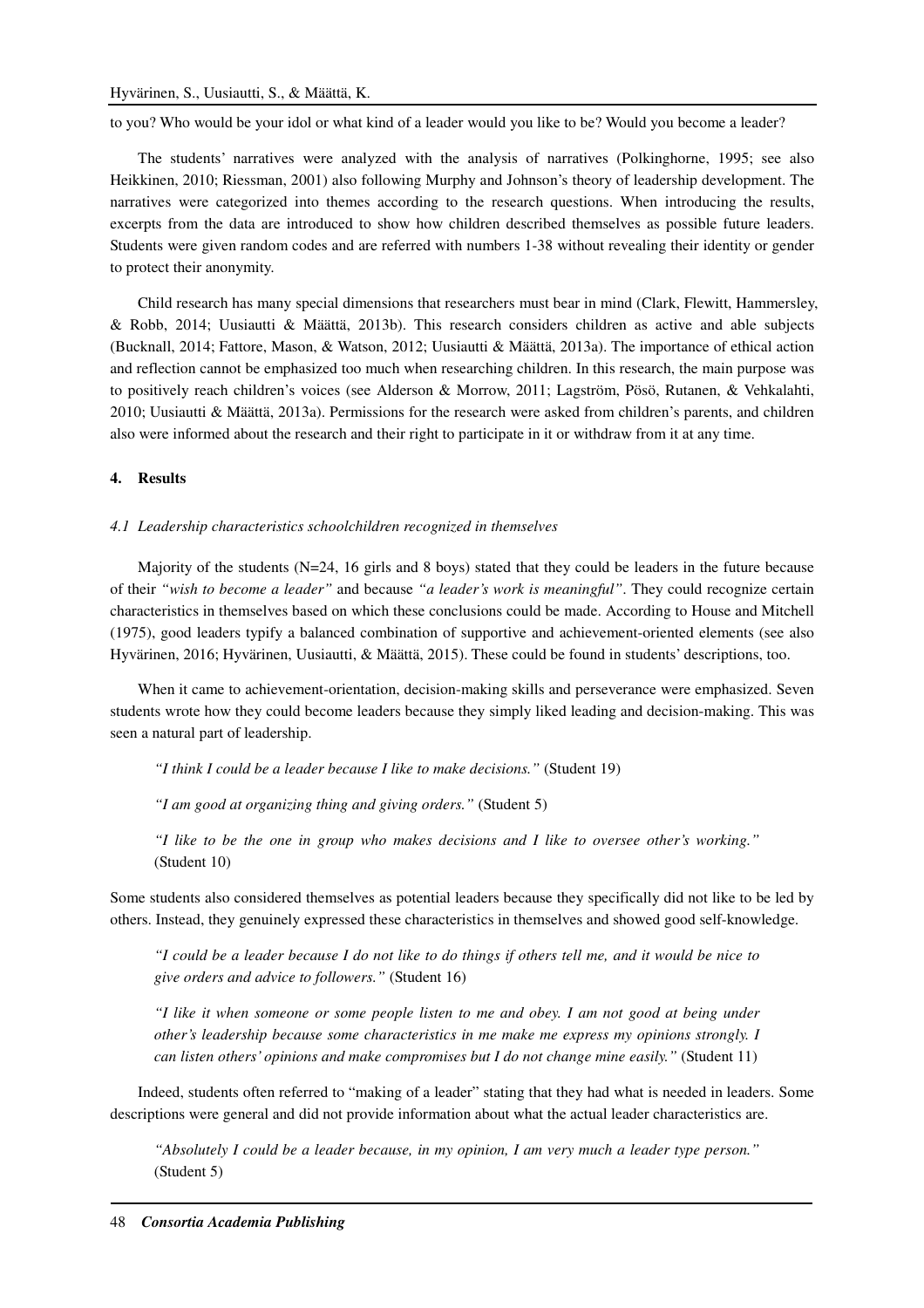to you? Who would be your idol or what kind of a leader would you like to be? Would you become a leader?

The students' narratives were analyzed with the analysis of narratives (Polkinghorne, 1995; see also Heikkinen, 2010; Riessman, 2001) also following Murphy and Johnson's theory of leadership development. The narratives were categorized into themes according to the research questions. When introducing the results, excerpts from the data are introduced to show how children described themselves as possible future leaders. Students were given random codes and are referred with numbers 1-38 without revealing their identity or gender to protect their anonymity.

Child research has many special dimensions that researchers must bear in mind (Clark, Flewitt, Hammersley, & Robb, 2014; Uusiautti & Määttä, 2013b). This research considers children as active and able subjects (Bucknall, 2014; Fattore, Mason, & Watson, 2012; Uusiautti & Määttä, 2013a). The importance of ethical action and reflection cannot be emphasized too much when researching children. In this research, the main purpose was to positively reach children's voices (see Alderson & Morrow, 2011; Lagström, Pösö, Rutanen, & Vehkalahti, 2010; Uusiautti & Määttä, 2013a). Permissions for the research were asked from children's parents, and children also were informed about the research and their right to participate in it or withdraw from it at any time.

#### **4. Results**

# *4.1 Leadership characteristics schoolchildren recognized in themselves*

Majority of the students (N=24, 16 girls and 8 boys) stated that they could be leaders in the future because of their *"wish to become a leader"* and because *"a leader's work is meaningful"*. They could recognize certain characteristics in themselves based on which these conclusions could be made. According to House and Mitchell (1975), good leaders typify a balanced combination of supportive and achievement-oriented elements (see also Hyvärinen, 2016; Hyvärinen, Uusiautti, & Määttä, 2015). These could be found in students' descriptions, too.

When it came to achievement-orientation, decision-making skills and perseverance were emphasized. Seven students wrote how they could become leaders because they simply liked leading and decision-making. This was seen a natural part of leadership.

*"I think I could be a leader because I like to make decisions."* (Student 19)

*"I am good at organizing thing and giving orders."* (Student 5)

*"I like to be the one in group who makes decisions and I like to oversee other's working."*  (Student 10)

Some students also considered themselves as potential leaders because they specifically did not like to be led by others. Instead, they genuinely expressed these characteristics in themselves and showed good self-knowledge.

*"I could be a leader because I do not like to do things if others tell me, and it would be nice to give orders and advice to followers."* (Student 16)

*"I like it when someone or some people listen to me and obey. I am not good at being under other's leadership because some characteristics in me make me express my opinions strongly. I can listen others' opinions and make compromises but I do not change mine easily."* (Student 11)

Indeed, students often referred to "making of a leader" stating that they had what is needed in leaders. Some descriptions were general and did not provide information about what the actual leader characteristics are.

*"Absolutely I could be a leader because, in my opinion, I am very much a leader type person."*  (Student 5)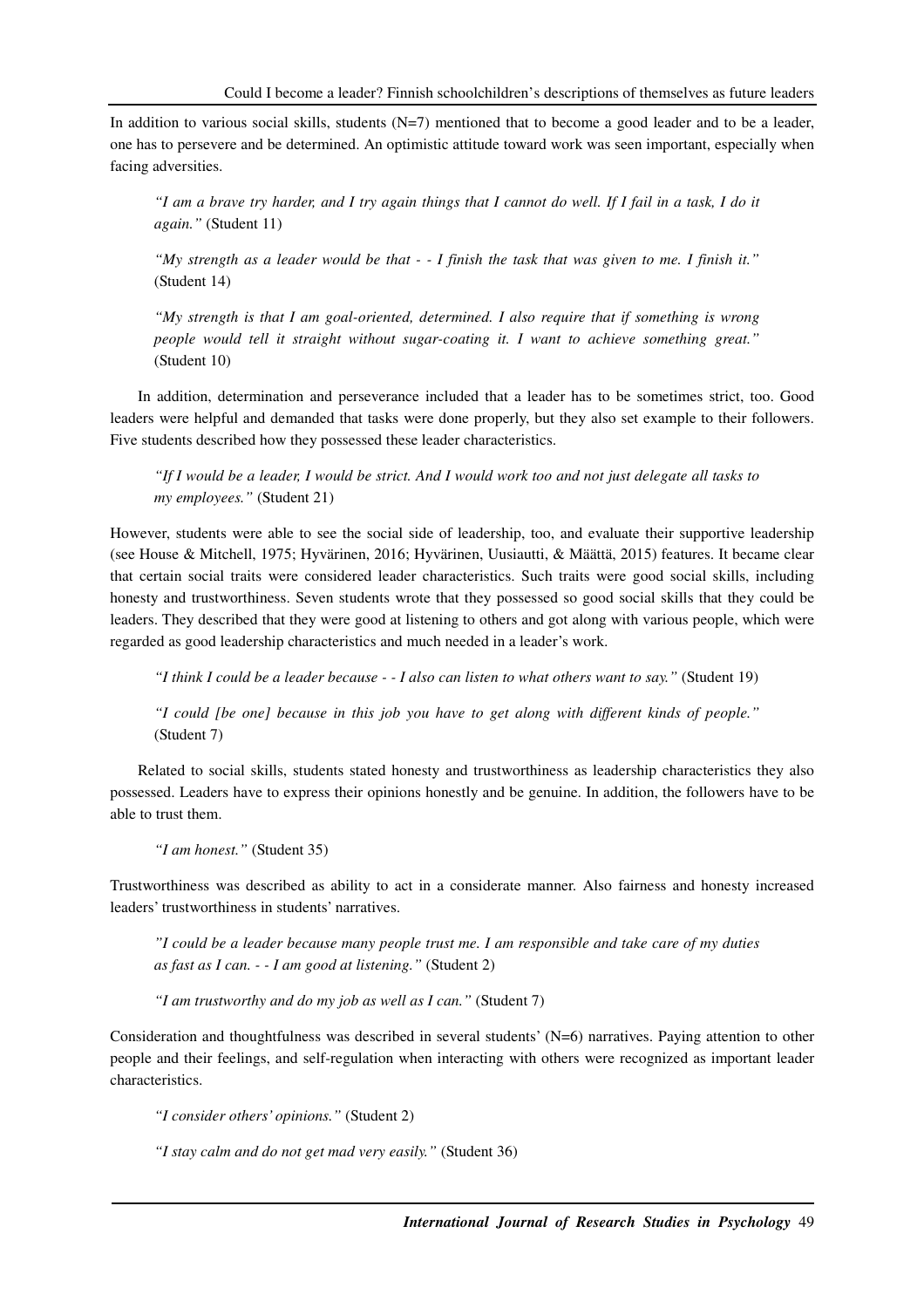In addition to various social skills, students (N=7) mentioned that to become a good leader and to be a leader, one has to persevere and be determined. An optimistic attitude toward work was seen important, especially when facing adversities.

*"I am a brave try harder, and I try again things that I cannot do well. If I fail in a task, I do it again."* (Student 11)

*"My strength as a leader would be that - - I finish the task that was given to me. I finish it."*  (Student 14)

*"My strength is that I am goal-oriented, determined. I also require that if something is wrong people would tell it straight without sugar-coating it. I want to achieve something great."*  (Student 10)

In addition, determination and perseverance included that a leader has to be sometimes strict, too. Good leaders were helpful and demanded that tasks were done properly, but they also set example to their followers. Five students described how they possessed these leader characteristics.

*"If I would be a leader, I would be strict. And I would work too and not just delegate all tasks to my employees."* (Student 21)

However, students were able to see the social side of leadership, too, and evaluate their supportive leadership (see House & Mitchell, 1975; Hyvärinen, 2016; Hyvärinen, Uusiautti, & Määttä, 2015) features. It became clear that certain social traits were considered leader characteristics. Such traits were good social skills, including honesty and trustworthiness. Seven students wrote that they possessed so good social skills that they could be leaders. They described that they were good at listening to others and got along with various people, which were regarded as good leadership characteristics and much needed in a leader's work.

*"I think I could be a leader because - - I also can listen to what others want to say."* (Student 19)

*"I could [be one] because in this job you have to get along with different kinds of people."*  (Student 7)

Related to social skills, students stated honesty and trustworthiness as leadership characteristics they also possessed. Leaders have to express their opinions honestly and be genuine. In addition, the followers have to be able to trust them.

*"I am honest."* (Student 35)

Trustworthiness was described as ability to act in a considerate manner. Also fairness and honesty increased leaders' trustworthiness in students' narratives.

*"I could be a leader because many people trust me. I am responsible and take care of my duties as fast as I can. - - I am good at listening."* (Student 2)

*"I am trustworthy and do my job as well as I can."* (Student 7)

Consideration and thoughtfulness was described in several students' (N=6) narratives. Paying attention to other people and their feelings, and self-regulation when interacting with others were recognized as important leader characteristics.

*"I consider others' opinions."* (Student 2)

*"I stay calm and do not get mad very easily."* (Student 36)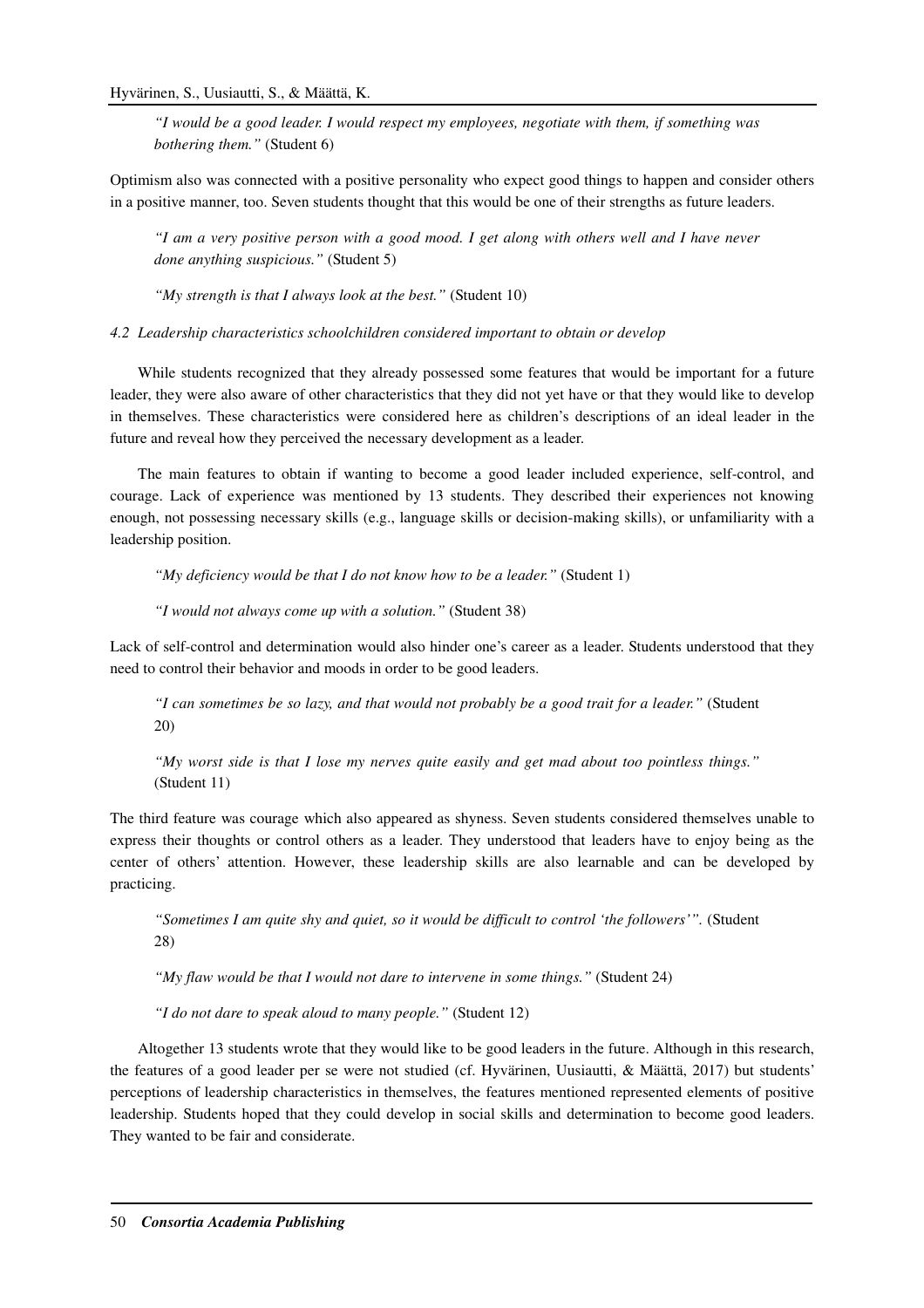*"I would be a good leader. I would respect my employees, negotiate with them, if something was bothering them."* (Student 6)

Optimism also was connected with a positive personality who expect good things to happen and consider others in a positive manner, too. Seven students thought that this would be one of their strengths as future leaders.

*"I am a very positive person with a good mood. I get along with others well and I have never done anything suspicious."* (Student 5)

*"My strength is that I always look at the best."* (Student 10)

*4.2 Leadership characteristics schoolchildren considered important to obtain or develop* 

While students recognized that they already possessed some features that would be important for a future leader, they were also aware of other characteristics that they did not yet have or that they would like to develop in themselves. These characteristics were considered here as children's descriptions of an ideal leader in the future and reveal how they perceived the necessary development as a leader.

The main features to obtain if wanting to become a good leader included experience, self-control, and courage. Lack of experience was mentioned by 13 students. They described their experiences not knowing enough, not possessing necessary skills (e.g., language skills or decision-making skills), or unfamiliarity with a leadership position.

*"My deficiency would be that I do not know how to be a leader."* (Student 1)

*"I would not always come up with a solution."* (Student 38)

Lack of self-control and determination would also hinder one's career as a leader. Students understood that they need to control their behavior and moods in order to be good leaders.

*"I can sometimes be so lazy, and that would not probably be a good trait for a leader."* (Student 20)

*"My worst side is that I lose my nerves quite easily and get mad about too pointless things."*  (Student 11)

The third feature was courage which also appeared as shyness. Seven students considered themselves unable to express their thoughts or control others as a leader. They understood that leaders have to enjoy being as the center of others' attention. However, these leadership skills are also learnable and can be developed by practicing.

*"Sometimes I am quite shy and quiet, so it would be difficult to control 'the followers'".* (Student 28)

*"My flaw would be that I would not dare to intervene in some things."* (Student 24)

*"I do not dare to speak aloud to many people."* (Student 12)

Altogether 13 students wrote that they would like to be good leaders in the future. Although in this research, the features of a good leader per se were not studied (cf. Hyvärinen, Uusiautti, & Määttä, 2017) but students' perceptions of leadership characteristics in themselves, the features mentioned represented elements of positive leadership. Students hoped that they could develop in social skills and determination to become good leaders. They wanted to be fair and considerate.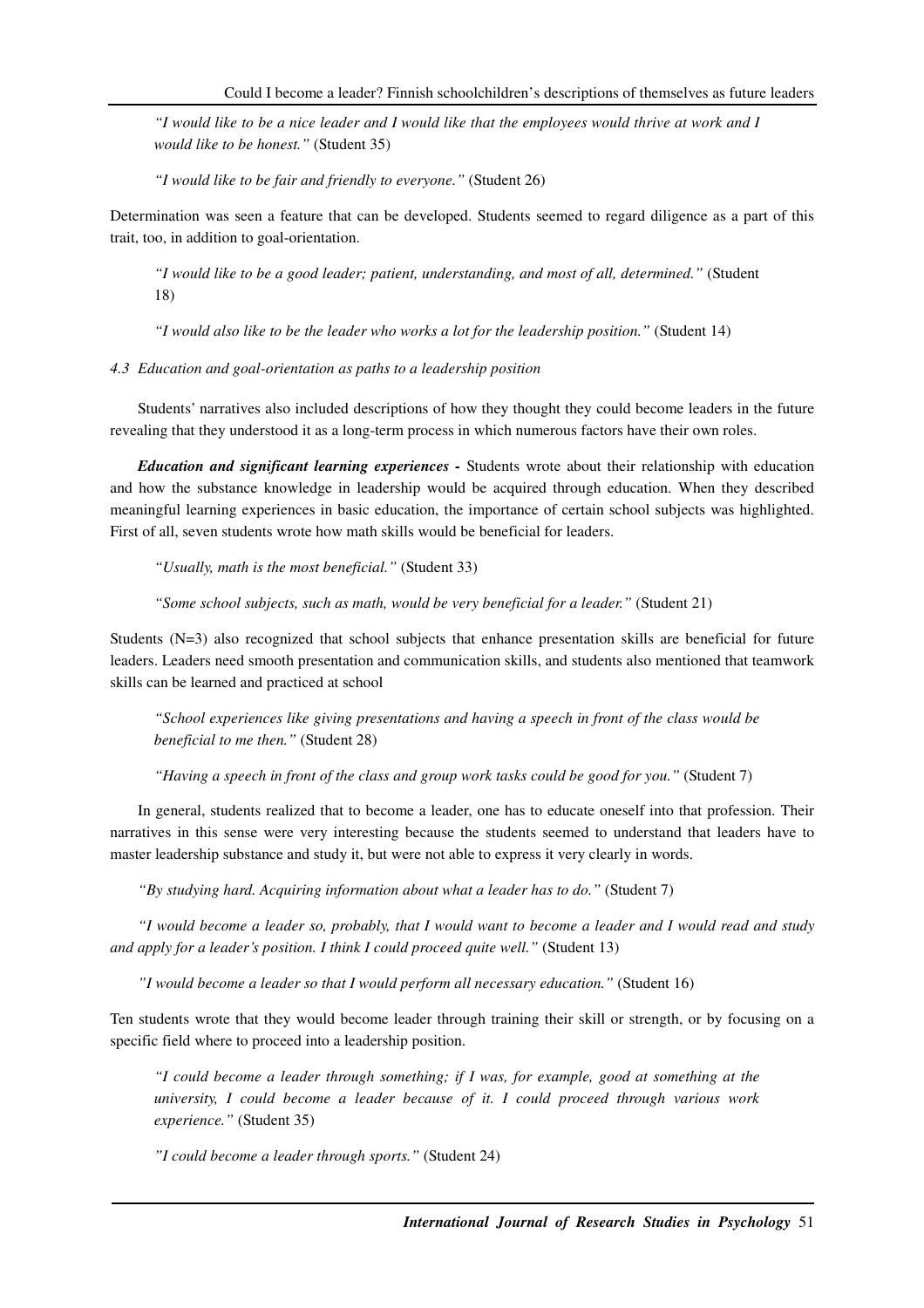*"I would like to be a nice leader and I would like that the employees would thrive at work and I would like to be honest."* (Student 35)

*"I would like to be fair and friendly to everyone."* (Student 26)

Determination was seen a feature that can be developed. Students seemed to regard diligence as a part of this trait, too, in addition to goal-orientation.

*"I would like to be a good leader; patient, understanding, and most of all, determined."* (Student 18)

*"I would also like to be the leader who works a lot for the leadership position."* (Student 14)

*4.3 Education and goal-orientation as paths to a leadership position* 

Students' narratives also included descriptions of how they thought they could become leaders in the future revealing that they understood it as a long-term process in which numerous factors have their own roles.

*Education and significant learning experiences -* Students wrote about their relationship with education and how the substance knowledge in leadership would be acquired through education. When they described meaningful learning experiences in basic education, the importance of certain school subjects was highlighted. First of all, seven students wrote how math skills would be beneficial for leaders.

*"Usually, math is the most beneficial."* (Student 33)

*"Some school subjects, such as math, would be very beneficial for a leader."* (Student 21)

Students (N=3) also recognized that school subjects that enhance presentation skills are beneficial for future leaders. Leaders need smooth presentation and communication skills, and students also mentioned that teamwork skills can be learned and practiced at school

*"School experiences like giving presentations and having a speech in front of the class would be beneficial to me then."* (Student 28)

*"Having a speech in front of the class and group work tasks could be good for you."* (Student 7)

In general, students realized that to become a leader, one has to educate oneself into that profession. Their narratives in this sense were very interesting because the students seemed to understand that leaders have to master leadership substance and study it, but were not able to express it very clearly in words.

*"By studying hard. Acquiring information about what a leader has to do."* (Student 7)

*"I would become a leader so, probably, that I would want to become a leader and I would read and study and apply for a leader's position. I think I could proceed quite well."* (Student 13)

*"I would become a leader so that I would perform all necessary education."* (Student 16)

Ten students wrote that they would become leader through training their skill or strength, or by focusing on a specific field where to proceed into a leadership position.

*"I could become a leader through something; if I was, for example, good at something at the university, I could become a leader because of it. I could proceed through various work experience."* (Student 35)

*"I could become a leader through sports."* (Student 24)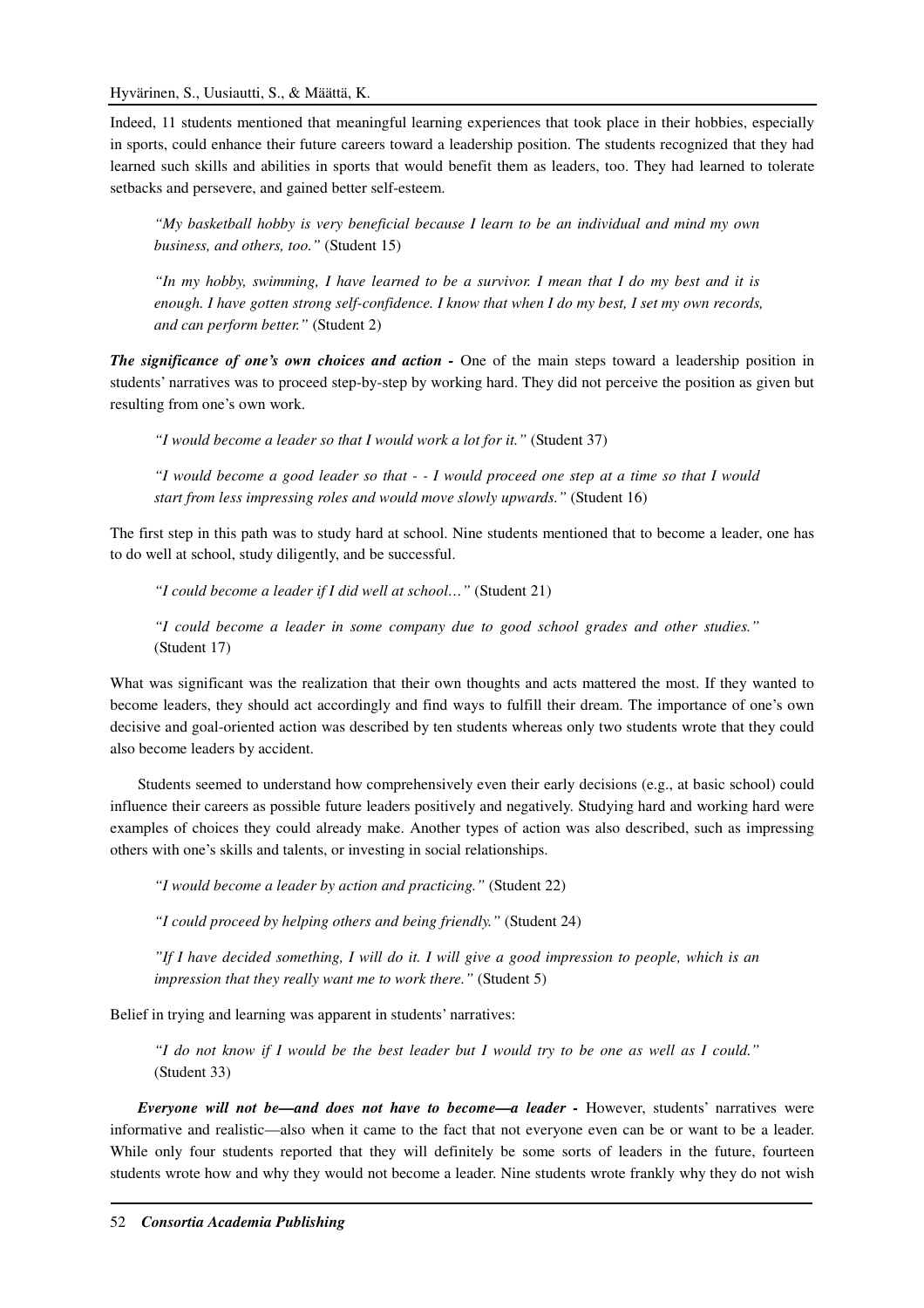Indeed, 11 students mentioned that meaningful learning experiences that took place in their hobbies, especially in sports, could enhance their future careers toward a leadership position. The students recognized that they had learned such skills and abilities in sports that would benefit them as leaders, too. They had learned to tolerate setbacks and persevere, and gained better self-esteem.

*"My basketball hobby is very beneficial because I learn to be an individual and mind my own business, and others, too."* (Student 15)

*"In my hobby, swimming, I have learned to be a survivor. I mean that I do my best and it is enough. I have gotten strong self-confidence. I know that when I do my best, I set my own records, and can perform better."* (Student 2)

*The significance of one's own choices and action -* One of the main steps toward a leadership position in students' narratives was to proceed step-by-step by working hard. They did not perceive the position as given but resulting from one's own work.

*"I would become a leader so that I would work a lot for it."* (Student 37)

*"I would become a good leader so that - - I would proceed one step at a time so that I would start from less impressing roles and would move slowly upwards."* (Student 16)

The first step in this path was to study hard at school. Nine students mentioned that to become a leader, one has to do well at school, study diligently, and be successful.

*"I could become a leader if I did well at school…"* (Student 21)

*"I could become a leader in some company due to good school grades and other studies."*  (Student 17)

What was significant was the realization that their own thoughts and acts mattered the most. If they wanted to become leaders, they should act accordingly and find ways to fulfill their dream. The importance of one's own decisive and goal-oriented action was described by ten students whereas only two students wrote that they could also become leaders by accident.

Students seemed to understand how comprehensively even their early decisions (e.g., at basic school) could influence their careers as possible future leaders positively and negatively. Studying hard and working hard were examples of choices they could already make. Another types of action was also described, such as impressing others with one's skills and talents, or investing in social relationships.

*"I would become a leader by action and practicing."* (Student 22)

*"I could proceed by helping others and being friendly."* (Student 24)

*"If I have decided something, I will do it. I will give a good impression to people, which is an impression that they really want me to work there."* (Student 5)

Belief in trying and learning was apparent in students' narratives:

*"I do not know if I would be the best leader but I would try to be one as well as I could."*  (Student 33)

*Everyone will not be—and does not have to become—a leader -* However, students' narratives were informative and realistic—also when it came to the fact that not everyone even can be or want to be a leader. While only four students reported that they will definitely be some sorts of leaders in the future, fourteen students wrote how and why they would not become a leader. Nine students wrote frankly why they do not wish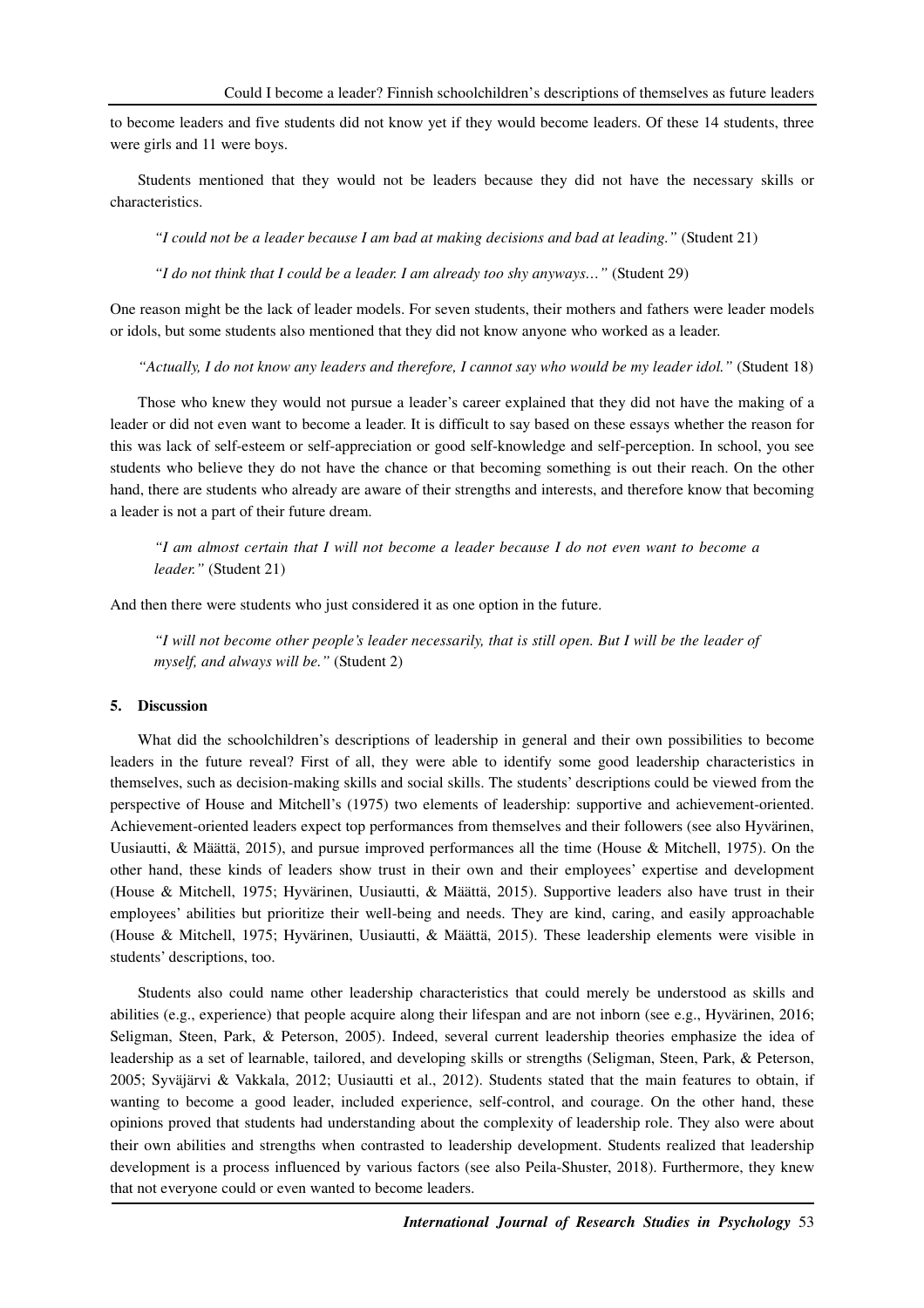to become leaders and five students did not know yet if they would become leaders. Of these 14 students, three were girls and 11 were boys.

Students mentioned that they would not be leaders because they did not have the necessary skills or characteristics.

*"I could not be a leader because I am bad at making decisions and bad at leading."* (Student 21)

*"I do not think that I could be a leader. I am already too shy anyways…"* (Student 29)

One reason might be the lack of leader models. For seven students, their mothers and fathers were leader models or idols, but some students also mentioned that they did not know anyone who worked as a leader.

*"Actually, I do not know any leaders and therefore, I cannot say who would be my leader idol."* (Student 18)

Those who knew they would not pursue a leader's career explained that they did not have the making of a leader or did not even want to become a leader. It is difficult to say based on these essays whether the reason for this was lack of self-esteem or self-appreciation or good self-knowledge and self-perception. In school, you see students who believe they do not have the chance or that becoming something is out their reach. On the other hand, there are students who already are aware of their strengths and interests, and therefore know that becoming a leader is not a part of their future dream.

*"I am almost certain that I will not become a leader because I do not even want to become a leader."* (Student 21)

And then there were students who just considered it as one option in the future.

*"I will not become other people's leader necessarily, that is still open. But I will be the leader of myself, and always will be."* (Student 2)

# **5. Discussion**

What did the schoolchildren's descriptions of leadership in general and their own possibilities to become leaders in the future reveal? First of all, they were able to identify some good leadership characteristics in themselves, such as decision-making skills and social skills. The students' descriptions could be viewed from the perspective of House and Mitchell's (1975) two elements of leadership: supportive and achievement-oriented. Achievement-oriented leaders expect top performances from themselves and their followers (see also Hyvärinen, Uusiautti, & Määttä, 2015), and pursue improved performances all the time (House & Mitchell, 1975). On the other hand, these kinds of leaders show trust in their own and their employees' expertise and development (House & Mitchell, 1975; Hyvärinen, Uusiautti, & Määttä, 2015). Supportive leaders also have trust in their employees' abilities but prioritize their well-being and needs. They are kind, caring, and easily approachable (House & Mitchell, 1975; Hyvärinen, Uusiautti, & Määttä, 2015). These leadership elements were visible in students' descriptions, too.

Students also could name other leadership characteristics that could merely be understood as skills and abilities (e.g., experience) that people acquire along their lifespan and are not inborn (see e.g., Hyvärinen, 2016; Seligman, Steen, Park, & Peterson, 2005). Indeed, several current leadership theories emphasize the idea of leadership as a set of learnable, tailored, and developing skills or strengths (Seligman, Steen, Park, & Peterson, 2005; Syväjärvi & Vakkala, 2012; Uusiautti et al., 2012). Students stated that the main features to obtain, if wanting to become a good leader, included experience, self-control, and courage. On the other hand, these opinions proved that students had understanding about the complexity of leadership role. They also were about their own abilities and strengths when contrasted to leadership development. Students realized that leadership development is a process influenced by various factors (see also Peila-Shuster, 2018). Furthermore, they knew that not everyone could or even wanted to become leaders.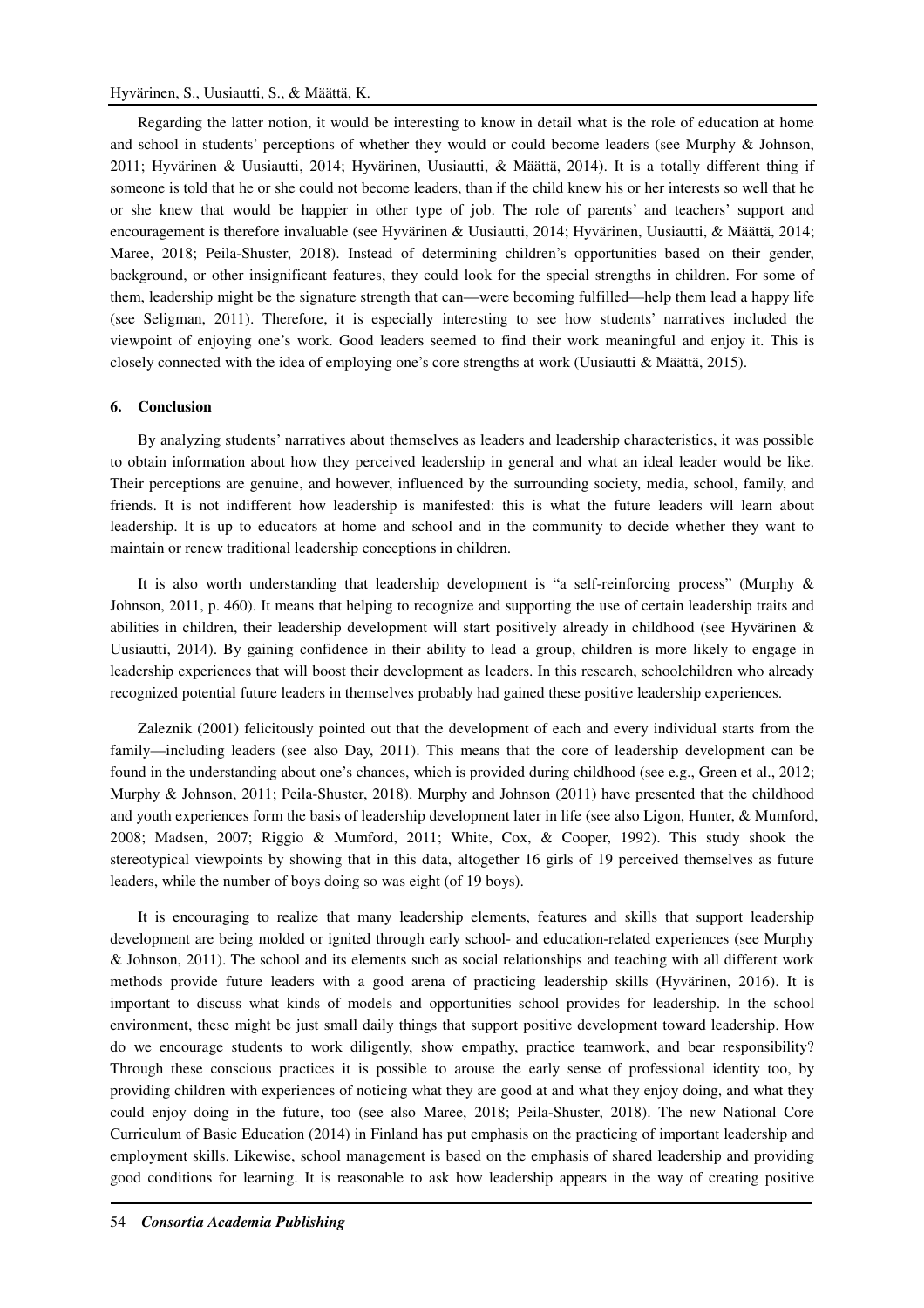# Hyvärinen, S., Uusiautti, S., & Määttä, K.

Regarding the latter notion, it would be interesting to know in detail what is the role of education at home and school in students' perceptions of whether they would or could become leaders (see Murphy & Johnson, 2011; Hyvärinen & Uusiautti, 2014; Hyvärinen, Uusiautti, & Määttä, 2014). It is a totally different thing if someone is told that he or she could not become leaders, than if the child knew his or her interests so well that he or she knew that would be happier in other type of job. The role of parents' and teachers' support and encouragement is therefore invaluable (see Hyvärinen & Uusiautti, 2014; Hyvärinen, Uusiautti, & Määttä, 2014; Maree, 2018; Peila-Shuster, 2018). Instead of determining children's opportunities based on their gender, background, or other insignificant features, they could look for the special strengths in children. For some of them, leadership might be the signature strength that can—were becoming fulfilled—help them lead a happy life (see Seligman, 2011). Therefore, it is especially interesting to see how students' narratives included the viewpoint of enjoying one's work. Good leaders seemed to find their work meaningful and enjoy it. This is closely connected with the idea of employing one's core strengths at work (Uusiautti & Määttä, 2015).

# **6. Conclusion**

By analyzing students' narratives about themselves as leaders and leadership characteristics, it was possible to obtain information about how they perceived leadership in general and what an ideal leader would be like. Their perceptions are genuine, and however, influenced by the surrounding society, media, school, family, and friends. It is not indifferent how leadership is manifested: this is what the future leaders will learn about leadership. It is up to educators at home and school and in the community to decide whether they want to maintain or renew traditional leadership conceptions in children.

It is also worth understanding that leadership development is "a self-reinforcing process" (Murphy & Johnson, 2011, p. 460). It means that helping to recognize and supporting the use of certain leadership traits and abilities in children, their leadership development will start positively already in childhood (see Hyvärinen & Uusiautti, 2014). By gaining confidence in their ability to lead a group, children is more likely to engage in leadership experiences that will boost their development as leaders. In this research, schoolchildren who already recognized potential future leaders in themselves probably had gained these positive leadership experiences.

Zaleznik (2001) felicitously pointed out that the development of each and every individual starts from the family—including leaders (see also Day, 2011). This means that the core of leadership development can be found in the understanding about one's chances, which is provided during childhood (see e.g., Green et al., 2012; Murphy & Johnson, 2011; Peila-Shuster, 2018). Murphy and Johnson (2011) have presented that the childhood and youth experiences form the basis of leadership development later in life (see also Ligon, Hunter, & Mumford, 2008; Madsen, 2007; Riggio & Mumford, 2011; White, Cox, & Cooper, 1992). This study shook the stereotypical viewpoints by showing that in this data, altogether 16 girls of 19 perceived themselves as future leaders, while the number of boys doing so was eight (of 19 boys).

It is encouraging to realize that many leadership elements, features and skills that support leadership development are being molded or ignited through early school- and education-related experiences (see Murphy & Johnson, 2011). The school and its elements such as social relationships and teaching with all different work methods provide future leaders with a good arena of practicing leadership skills (Hyvärinen, 2016). It is important to discuss what kinds of models and opportunities school provides for leadership. In the school environment, these might be just small daily things that support positive development toward leadership. How do we encourage students to work diligently, show empathy, practice teamwork, and bear responsibility? Through these conscious practices it is possible to arouse the early sense of professional identity too, by providing children with experiences of noticing what they are good at and what they enjoy doing, and what they could enjoy doing in the future, too (see also Maree, 2018; Peila-Shuster, 2018). The new National Core Curriculum of Basic Education (2014) in Finland has put emphasis on the practicing of important leadership and employment skills. Likewise, school management is based on the emphasis of shared leadership and providing good conditions for learning. It is reasonable to ask how leadership appears in the way of creating positive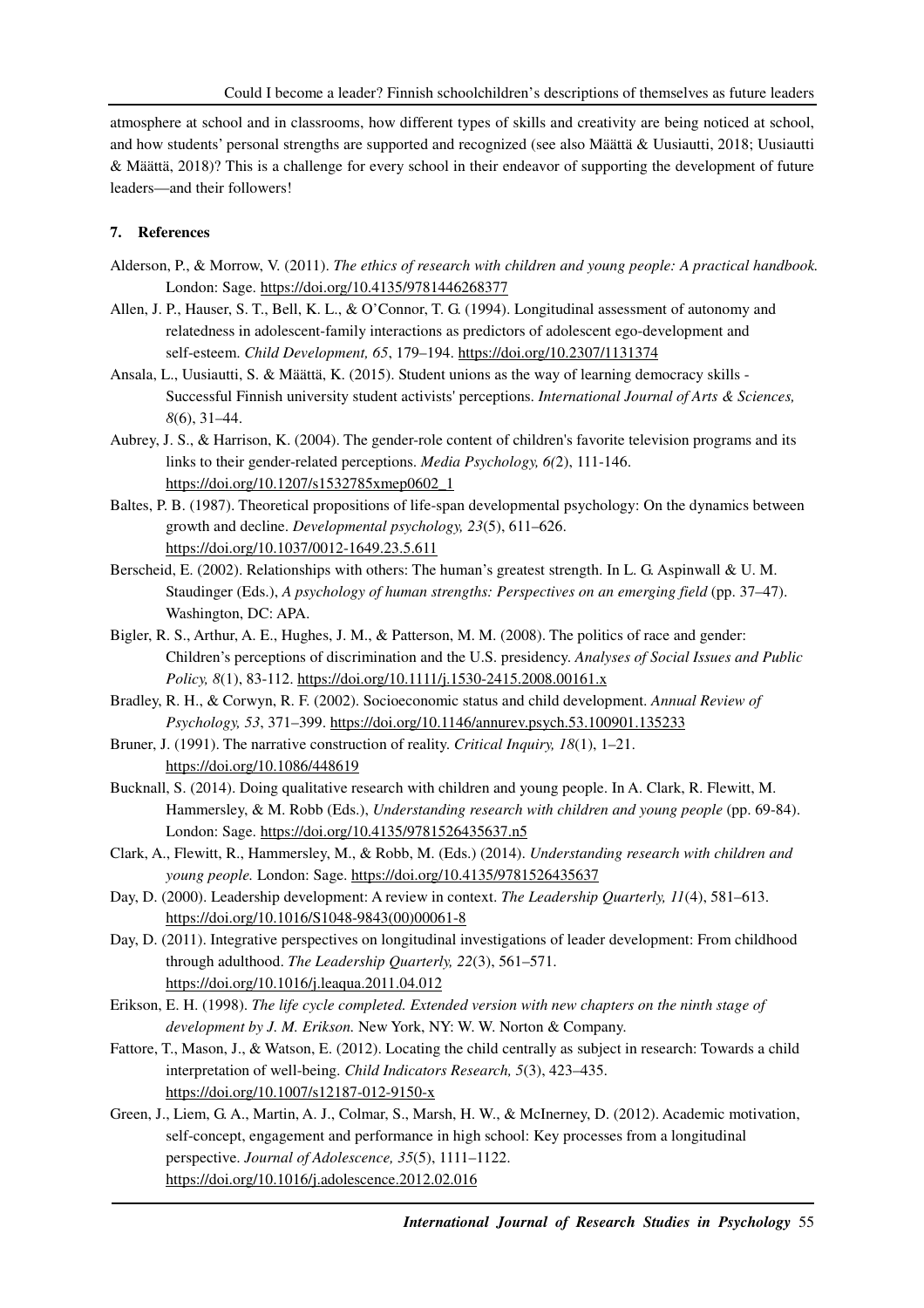atmosphere at school and in classrooms, how different types of skills and creativity are being noticed at school, and how students' personal strengths are supported and recognized (see also Määttä & Uusiautti, 2018; Uusiautti & Määttä, 2018)? This is a challenge for every school in their endeavor of supporting the development of future leaders—and their followers!

# **7. References**

- Alderson, P., & Morrow, V. (2011). *The ethics of research with children and young people: A practical handbook.*  London: Sage. https://doi.org/10.4135/9781446268377
- Allen, J. P., Hauser, S. T., Bell, K. L., & O'Connor, T. G. (1994). Longitudinal assessment of autonomy and relatedness in adolescent-family interactions as predictors of adolescent ego-development and self-esteem. *Child Development, 65*, 179–194. https://doi.org/10.2307/1131374
- Ansala, L., Uusiautti, S. & Määttä, K. (2015). Student unions as the way of learning democracy skills Successful Finnish university student activists' perceptions. *International Journal of Arts & Sciences, 8*(6), 31–44.
- Aubrey, J. S., & Harrison, K. (2004). The gender-role content of children's favorite television programs and its links to their gender-related perceptions. *Media Psychology, 6(*2), 111-146. https://doi.org/10.1207/s1532785xmep0602\_1
- Baltes, P. B. (1987). Theoretical propositions of life-span developmental psychology: On the dynamics between growth and decline. *Developmental psychology, 23*(5), 611–626. https://doi.org/10.1037/0012-1649.23.5.611
- Berscheid, E. (2002). Relationships with others: The human's greatest strength. In L. G. Aspinwall & U. M. Staudinger (Eds.), *A psychology of human strengths: Perspectives on an emerging field* (pp. 37–47). Washington, DC: APA.
- Bigler, R. S., Arthur, A. E., Hughes, J. M., & Patterson, M. M. (2008). The politics of race and gender: Children's perceptions of discrimination and the U.S. presidency. *Analyses of Social Issues and Public Policy, 8*(1), 83-112. https://doi.org/10.1111/j.1530-2415.2008.00161.x
- Bradley, R. H., & Corwyn, R. F. (2002). Socioeconomic status and child development. *Annual Review of Psychology, 53*, 371–399. https://doi.org/10.1146/annurev.psych.53.100901.135233
- Bruner, J. (1991). The narrative construction of reality. *Critical Inquiry, 18*(1), 1–21. https://doi.org/10.1086/448619
- Bucknall, S. (2014). Doing qualitative research with children and young people. In A. Clark, R. Flewitt, M. Hammersley, & M. Robb (Eds.), *Understanding research with children and young people* (pp. 69-84). London: Sage. https://doi.org/10.4135/9781526435637.n5
- Clark, A., Flewitt, R., Hammersley, M., & Robb, M. (Eds.) (2014). *Understanding research with children and young people.* London: Sage. https://doi.org/10.4135/9781526435637
- Day, D. (2000). Leadership development: A review in context. *The Leadership Quarterly, 11*(4), 581–613. https://doi.org/10.1016/S1048-9843(00)00061-8
- Day, D. (2011). Integrative perspectives on longitudinal investigations of leader development: From childhood through adulthood. *The Leadership Quarterly, 22*(3), 561–571. https://doi.org/10.1016/j.leaqua.2011.04.012
- Erikson, E. H. (1998). *The life cycle completed. Extended version with new chapters on the ninth stage of development by J. M. Erikson.* New York, NY: W. W. Norton & Company.
- Fattore, T., Mason, J., & Watson, E. (2012). Locating the child centrally as subject in research: Towards a child interpretation of well-being. *Child Indicators Research, 5*(3), 423–435. https://doi.org/10.1007/s12187-012-9150-x
- Green, J., Liem, G. A., Martin, A. J., Colmar, S., Marsh, H. W., & McInerney, D. (2012). Academic motivation, self-concept, engagement and performance in high school: Key processes from a longitudinal perspective. *Journal of Adolescence, 35*(5), 1111–1122. https://doi.org/10.1016/j.adolescence.2012.02.016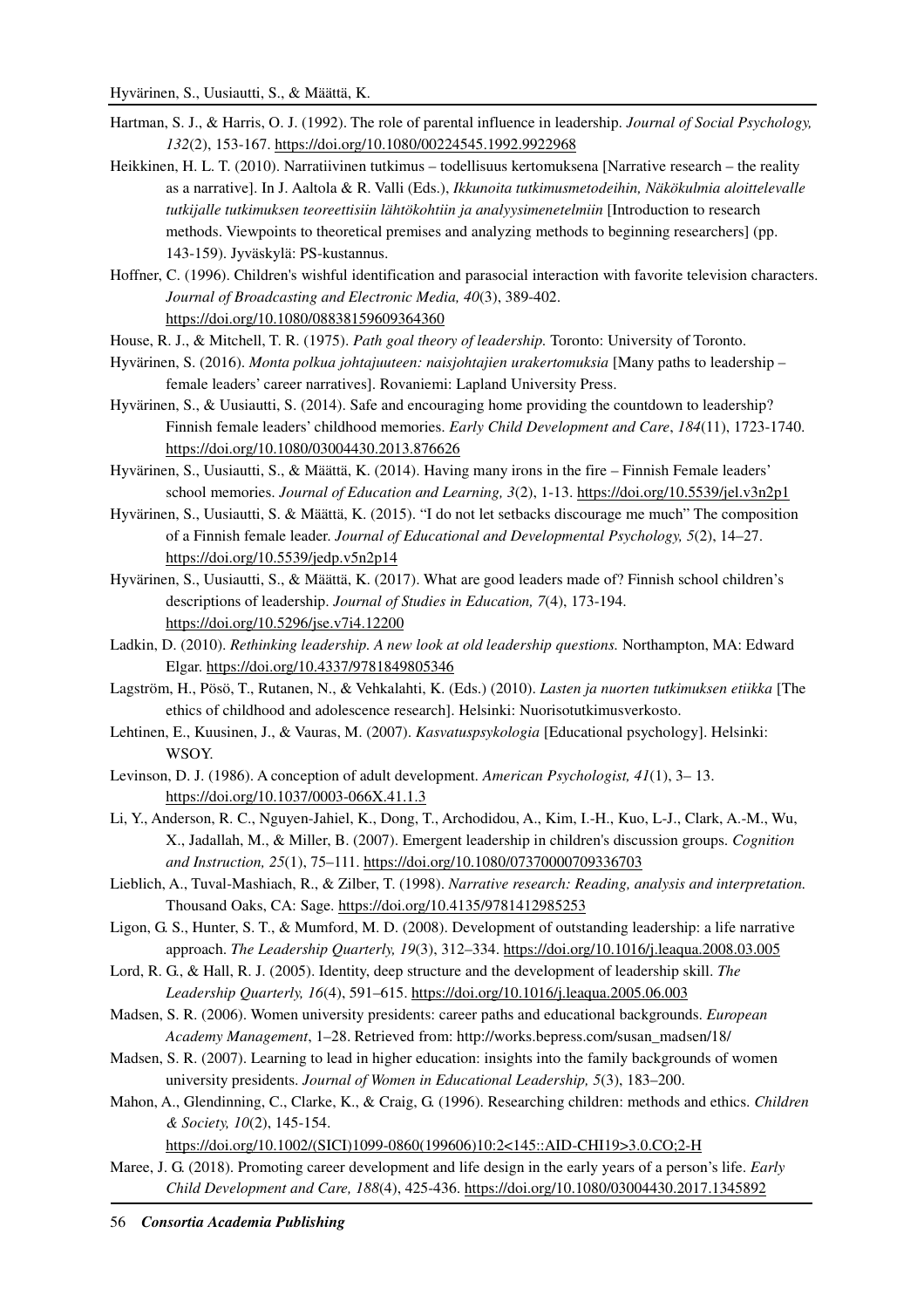- Hartman, S. J., & Harris, O. J. (1992). The role of parental influence in leadership. *Journal of Social Psychology, 132*(2), 153-167. https://doi.org/10.1080/00224545.1992.9922968
- Heikkinen, H. L. T. (2010). Narratiivinen tutkimus todellisuus kertomuksena [Narrative research the reality as a narrative]. In J. Aaltola & R. Valli (Eds.), *Ikkunoita tutkimusmetodeihin, Näkökulmia aloittelevalle tutkijalle tutkimuksen teoreettisiin lähtökohtiin ja analyysimenetelmiin* [Introduction to research methods. Viewpoints to theoretical premises and analyzing methods to beginning researchers] (pp. 143-159). Jyväskylä: PS-kustannus.
- Hoffner, C. (1996). Children's wishful identification and parasocial interaction with favorite television characters. *Journal of Broadcasting and Electronic Media, 40*(3), 389-402. https://doi.org/10.1080/08838159609364360
- House, R. J., & Mitchell, T. R. (1975). *Path goal theory of leadership.* Toronto: University of Toronto.
- Hyvärinen, S. (2016). *Monta polkua johtajuuteen: naisjohtajien urakertomuksia* [Many paths to leadership female leaders' career narratives]. Rovaniemi: Lapland University Press.
- Hyvärinen, S., & Uusiautti, S. (2014). Safe and encouraging home providing the countdown to leadership? Finnish female leaders' childhood memories. *Early Child Development and Care*, *184*(11), 1723-1740. https://doi.org/10.1080/03004430.2013.876626
- Hyvärinen, S., Uusiautti, S., & Määttä, K. (2014). Having many irons in the fire Finnish Female leaders' school memories. *Journal of Education and Learning, 3*(2), 1-13. https://doi.org/10.5539/jel.v3n2p1
- Hyvärinen, S., Uusiautti, S. & Määttä, K. (2015). "I do not let setbacks discourage me much" The composition of a Finnish female leader. *Journal of Educational and Developmental Psychology, 5*(2), 14–27. https://doi.org/10.5539/jedp.v5n2p14
- Hyvärinen, S., Uusiautti, S., & Määttä, K. (2017). What are good leaders made of? Finnish school children's descriptions of leadership. *Journal of Studies in Education, 7*(4), 173-194. https://doi.org/10.5296/jse.v7i4.12200
- Ladkin, D. (2010). *Rethinking leadership. A new look at old leadership questions.* Northampton, MA: Edward Elgar. https://doi.org/10.4337/9781849805346
- Lagström, H., Pösö, T., Rutanen, N., & Vehkalahti, K. (Eds.) (2010). *Lasten ja nuorten tutkimuksen etiikka* [The ethics of childhood and adolescence research]. Helsinki: Nuorisotutkimusverkosto.
- Lehtinen, E., Kuusinen, J., & Vauras, M. (2007). *Kasvatuspsykologia* [Educational psychology]. Helsinki: WSOY.
- Levinson, D. J. (1986). A conception of adult development. *American Psychologist, 41*(1), 3– 13. https://doi.org/10.1037/0003-066X.41.1.3
- Li, Y., Anderson, R. C., Nguyen-Jahiel, K., Dong, T., Archodidou, A., Kim, I.-H., Kuo, L-J., Clark, A.-M., Wu, X., Jadallah, M., & Miller, B. (2007). Emergent leadership in children's discussion groups. *Cognition and Instruction, 25*(1), 75–111. https://doi.org/10.1080/07370000709336703
- Lieblich, A., Tuval-Mashiach, R., & Zilber, T. (1998). *Narrative research: Reading, analysis and interpretation.*  Thousand Oaks, CA: Sage. https://doi.org/10.4135/9781412985253
- Ligon, G. S., Hunter, S. T., & Mumford, M. D. (2008). Development of outstanding leadership: a life narrative approach. *The Leadership Quarterly, 19*(3), 312–334. https://doi.org/10.1016/j.leaqua.2008.03.005
- Lord, R. G., & Hall, R. J. (2005). Identity, deep structure and the development of leadership skill. *The Leadership Quarterly, 16*(4), 591–615. https://doi.org/10.1016/j.leaqua.2005.06.003
- Madsen, S. R. (2006). Women university presidents: career paths and educational backgrounds. *European Academy Management*, 1–28. Retrieved from: http://works.bepress.com/susan\_madsen/18/
- Madsen, S. R. (2007). Learning to lead in higher education: insights into the family backgrounds of women university presidents. *Journal of Women in Educational Leadership, 5*(3), 183–200.
- Mahon, A., Glendinning, C., Clarke, K., & Craig, G. (1996). Researching children: methods and ethics. *Children & Society, 10*(2), 145-154.

https://doi.org/10.1002/(SICI)1099-0860(199606)10:2<145::AID-CHI19>3.0.CO;2-H

Maree, J. G. (2018). Promoting career development and life design in the early years of a person's life. *Early Child Development and Care, 188*(4), 425-436. https://doi.org/10.1080/03004430.2017.1345892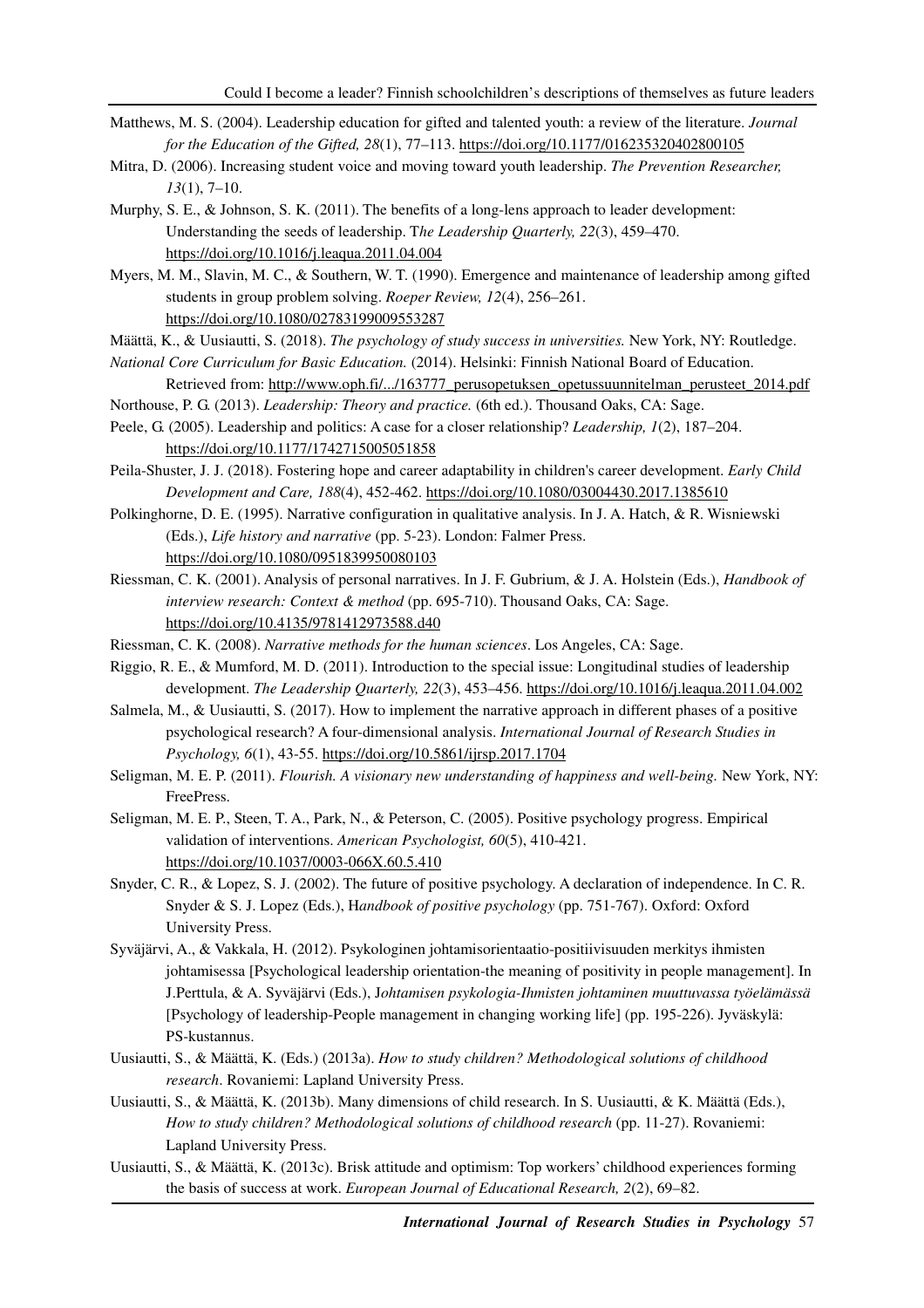- Matthews, M. S. (2004). Leadership education for gifted and talented youth: a review of the literature. *Journal for the Education of the Gifted, 28*(1), 77–113. https://doi.org/10.1177/016235320402800105
- Mitra, D. (2006). Increasing student voice and moving toward youth leadership. *The Prevention Researcher, 13*(1), 7–10.
- Murphy, S. E., & Johnson, S. K. (2011). The benefits of a long-lens approach to leader development: Understanding the seeds of leadership. T*he Leadership Quarterly, 22*(3), 459–470. https://doi.org/10.1016/j.leaqua.2011.04.004
- Myers, M. M., Slavin, M. C., & Southern, W. T. (1990). Emergence and maintenance of leadership among gifted students in group problem solving. *Roeper Review, 12*(4), 256–261. https://doi.org/10.1080/02783199009553287
- Määttä, K., & Uusiautti, S. (2018). *The psychology of study success in universities.* New York, NY: Routledge.
- *National Core Curriculum for Basic Education.* (2014). Helsinki: Finnish National Board of Education.
- Retrieved from: http://www.oph.fi/.../163777\_perusopetuksen\_opetussuunnitelman\_perusteet\_2014.pdf Northouse, P. G. (2013). *Leadership: Theory and practice.* (6th ed.). Thousand Oaks, CA: Sage.
- Peele, G. (2005). Leadership and politics: A case for a closer relationship? *Leadership, 1*(2), 187–204. https://doi.org/10.1177/1742715005051858
- Peila-Shuster, J. J. (2018). Fostering hope and career adaptability in children's career development. *Early Child Development and Care, 188*(4), 452-462. https://doi.org/10.1080/03004430.2017.1385610
- Polkinghorne, D. E. (1995). Narrative configuration in qualitative analysis. In J. A. Hatch, & R. Wisniewski (Eds.), *Life history and narrative* (pp. 5-23). London: Falmer Press. https://doi.org/10.1080/0951839950080103
- Riessman, C. K. (2001). Analysis of personal narratives. In J. F. Gubrium, & J. A. Holstein (Eds.), *Handbook of interview research: Context & method* (pp. 695-710). Thousand Oaks, CA: Sage. https://doi.org/10.4135/9781412973588.d40
- Riessman, C. K. (2008). *Narrative methods for the human sciences*. Los Angeles, CA: Sage.
- Riggio, R. E., & Mumford, M. D. (2011). Introduction to the special issue: Longitudinal studies of leadership development. *The Leadership Quarterly, 22*(3), 453–456. https://doi.org/10.1016/j.leaqua.2011.04.002
- Salmela, M., & Uusiautti, S. (2017). How to implement the narrative approach in different phases of a positive psychological research? A four-dimensional analysis. *International Journal of Research Studies in Psychology, 6*(1), 43-55. https://doi.org/10.5861/ijrsp.2017.1704
- Seligman, M. E. P. (2011). *Flourish. A visionary new understanding of happiness and well-being*. New York, NY: FreePress.
- Seligman, M. E. P., Steen, T. A., Park, N., & Peterson, C. (2005). Positive psychology progress. Empirical validation of interventions. *American Psychologist, 60*(5), 410-421. https://doi.org/10.1037/0003-066X.60.5.410
- Snyder, C. R., & Lopez, S. J. (2002). The future of positive psychology. A declaration of independence. In C. R. Snyder & S. J. Lopez (Eds.), H*andbook of positive psychology* (pp. 751-767). Oxford: Oxford University Press.
- Syväjärvi, A., & Vakkala, H. (2012). Psykologinen johtamisorientaatio-positiivisuuden merkitys ihmisten johtamisessa [Psychological leadership orientation-the meaning of positivity in people management]. In J.Perttula, & A. Syväjärvi (Eds.), J*ohtamisen psykologia-Ihmisten johtaminen muuttuvassa työelämässä*  [Psychology of leadership-People management in changing working life] (pp. 195-226). Jyväskylä: PS-kustannus.
- Uusiautti, S., & Määttä, K. (Eds.) (2013a). *How to study children? Methodological solutions of childhood research*. Rovaniemi: Lapland University Press.
- Uusiautti, S., & Määttä, K. (2013b). Many dimensions of child research. In S. Uusiautti, & K. Määttä (Eds.), *How to study children? Methodological solutions of childhood research* (pp. 11-27). Rovaniemi: Lapland University Press.
- Uusiautti, S., & Määttä, K. (2013c). Brisk attitude and optimism: Top workers' childhood experiences forming the basis of success at work. *European Journal of Educational Research, 2*(2), 69–82.